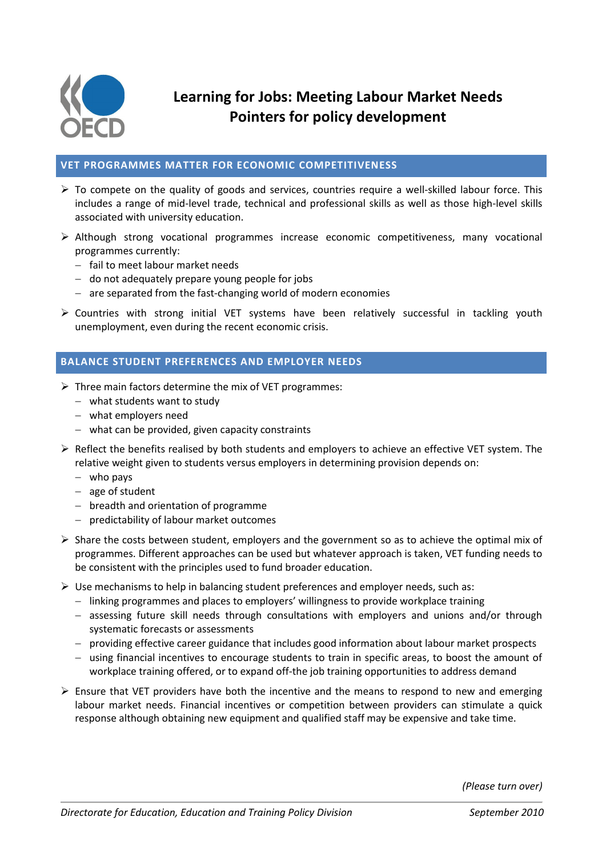

# **Learning for Jobs: Meeting Labour Market Needs Pointers for policy development**

### **VET PROGRAMMES MATTER FOR ECONOMIC COMPETITIVENESS**

- $\triangleright$  To compete on the quality of goods and services, countries require a well-skilled labour force. This includes a range of mid-level trade, technical and professional skills as well as those high-level skills associated with university education.
- $\triangleright$  Although strong vocational programmes increase economic competitiveness, many vocational programmes currently:
	- $-$  fail to meet labour market needs
	- $-$  do not adequately prepare young people for jobs
	- $-$  are separated from the fast-changing world of modern economies
- $\triangleright$  Countries with strong initial VET systems have been relatively successful in tackling youth unemployment, even during the recent economic crisis.

# **BALANCE STUDENT PREFERENCES AND EMPLOYER NEEDS**

- $\triangleright$  Three main factors determine the mix of VET programmes:
	- what students want to study
	- what employers need
	- what can be provided, given capacity constraints
- $\triangleright$  Reflect the benefits realised by both students and employers to achieve an effective VET system. The relative weight given to students versus employers in determining provision depends on:
	- $-$  who pays
	- $-$  age of student
	- breadth and orientation of programme
	- predictability of labour market outcomes
- $\triangleright$  Share the costs between student, employers and the government so as to achieve the optimal mix of programmes. Different approaches can be used but whatever approach is taken, VET funding needs to be consistent with the principles used to fund broader education.
- $\triangleright$  Use mechanisms to help in balancing student preferences and employer needs, such as:
	- linking programmes and places to employers' willingness to provide workplace training
	- assessing future skill needs through consultations with employers and unions and/or through systematic forecasts or assessments
	- providing effective career guidance that includes good information about labour market prospects
	- using financial incentives to encourage students to train in specific areas, to boost the amount of workplace training offered, or to expand off-the job training opportunities to address demand
- $\triangleright$  Ensure that VET providers have both the incentive and the means to respond to new and emerging labour market needs. Financial incentives or competition between providers can stimulate a quick response although obtaining new equipment and qualified staff may be expensive and take time.

*(Please turn over)*